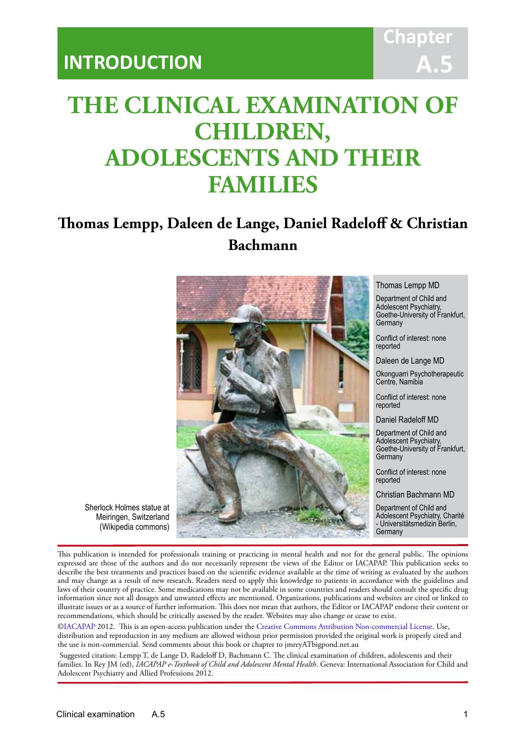## **Chapter A.5**

# **THE CLINICAL EXAMINATION OF CHILDREN, ADOLESCENTS AND THEIR FAMILIES**

IACAPAP Textbook of Child and Adolescent Mental Health

## **Thomas Lempp, Daleen de Lange, Daniel Radeloff & Christian Bachmann**



Thomas Lempp MD

Department of Child and Adolescent Psychiatry, Goethe-University of Frankfurt, **Germany** 

Conflict of interest: none reported

Daleen de Lange MD

Okonguarri Psychotherapeutic Centre, Namibia

Conflict of interest: none reported

Daniel Radeloff MD

Department of Child and Adolescent Psychiatry, Goethe-University of Frankfurt, Germany

Conflict of interest: none reported

Christian Bachmann MD

Department of Child and Adolescent Psychiatry, Charité - Universitätsmedizin Berlin, **Germany** 

Sherlock Holmes statue at Meiringen, Switzerland (Wikipedia commons)

This publication is intended for professionals training or practicing in mental health and not for the general public. The opinions expressed are those of the authors and do not necessarily represent the views of the Editor or IACAPAP. This publication seeks to describe the best treatments and practices based on the scientific evidence available at the time of writing as evaluated by the authors and may change as a result of new research. Readers need to apply this knowledge to patients in accordance with the guidelines and laws of their country of practice. Some medications may not be available in some countries and readers should consult the specific drug information since not all dosages and unwanted effects are mentioned. Organizations, publications and websites are cited or linked to illustrate issues or as a source of further information. This does not mean that authors, the Editor or IACAPAP endorse their content or recommendations, which should be critically assessed by the reader. Websites may also change or cease to exist.

[©IACAPAP](http://iacapap.org/) 2012. This is an open-access publication under the [Creative Commons Attribution Non-commercial License](http://creativecommons.org/licenses/by-nc/2.0/). Use, distribution and reproduction in any medium are allowed without prior permission provided the original work is properly cited and the use is non-commercial. Send comments about this book or chapter to jmreyATbigpond.net.au

 Suggested citation: Lempp T, de Lange D, Radeloff D, Bachmann C. The clinical examination of children, adolescents and their families. In Rey JM (ed), *IACAPAP e-Textbook of Child and Adolescent Mental Health*. Geneva: International Association for Child and Adolescent Psychiatry and Allied Professions 2012.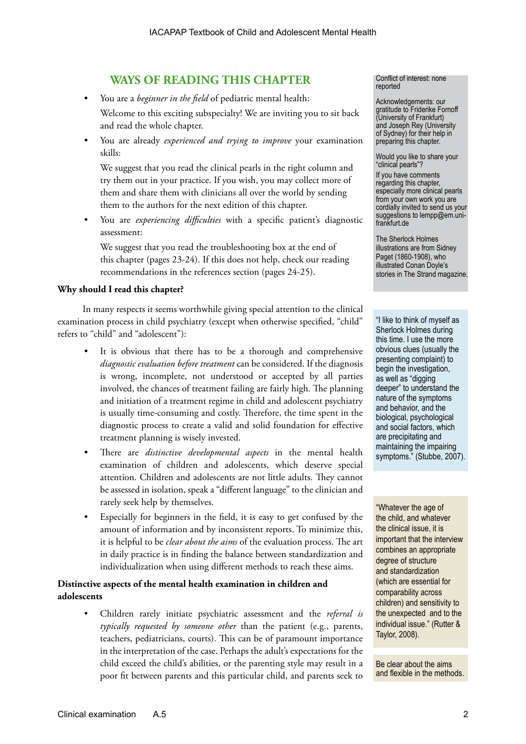## **WAYS OF READING THIS CHAPTER**

• You are a *beginner in the field* of pediatric mental health:

Welcome to this exciting subspecialty! We are inviting you to sit back and read the whole chapter.

• You are already *experienced and trying to improve* your examination skills:

We suggest that you read the clinical pearls in the right column and try them out in your practice. If you wish, you may collect more of them and share them with clinicians all over the world by sending them to the authors for the next edition of this chapter.

• You are *experiencing difficulties* with a specific patient's diagnostic assessment:

We suggest that you read the troubleshooting box at the end of this chapter (pages 23-24). If this does not help, check our reading recommendations in the references section (pages 24-25).

#### **Why should I read this chapter?**

In many respects it seems worthwhile giving special attention to the clinical examination process in child psychiatry (except when otherwise specified, "child" refers to "child" and "adolescent"):

- It is obvious that there has to be a thorough and comprehensive *diagnostic evaluation before treatment* can be considered. If the diagnosis is wrong, incomplete, not understood or accepted by all parties involved, the chances of treatment failing are fairly high. The planning and initiation of a treatment regime in child and adolescent psychiatry is usually time-consuming and costly. Therefore, the time spent in the diagnostic process to create a valid and solid foundation for effective treatment planning is wisely invested.
- There are *distinctive developmental aspects* in the mental health examination of children and adolescents, which deserve special attention. Children and adolescents are not little adults. They cannot be assessed in isolation, speak a "different language" to the clinician and rarely seek help by themselves.
- Especially for beginners in the field, it is easy to get confused by the amount of information and by inconsistent reports. To minimize this, it is helpful to be *clear about the aims* of the evaluation process. The art in daily practice is in finding the balance between standardization and individualization when using different methods to reach these aims.

## **Distinctive aspects of the mental health examination in children and adolescents**

• Children rarely initiate psychiatric assessment and the *referral is typically requested by someone other* than the patient (e.g., parents, teachers, pediatricians, courts). This can be of paramount importance in the interpretation of the case. Perhaps the adult's expectations for the child exceed the child's abilities, or the parenting style may result in a poor fit between parents and this particular child, and parents seek to

Conflict of interest: none reported

Acknowledgements: our gratitude to Friderike Fornoff (University of Frankfurt) and Joseph Rey (University of Sydney) for their help in preparing this chapter.

Would you like to share your "clinical pearls"?

If you have comments regarding this chapter, especially more clinical pearls from your own work you are cordially invited to send us your suggestions to lempp@em.unifrankfurt.de

The Sherlock Holmes illustrations are from Sidney Paget (1860-1908), who illustrated Conan Doyle's stories in The Strand magazine.

"I like to think of myself as Sherlock Holmes during this time. I use the more obvious clues (usually the presenting complaint) to begin the investigation, as well as "digging deeper" to understand the nature of the symptoms and behavior, and the biological, psychological and social factors, which are precipitating and maintaining the impairing symptoms." (Stubbe, 2007).

"Whatever the age of the child, and whatever the clinical issue, it is important that the interview combines an appropriate degree of structure and standardization (which are essential for comparability across children) and sensitivity to the unexpected and to the individual issue." (Rutter & Taylor, 2008).

Be clear about the aims and flexible in the methods.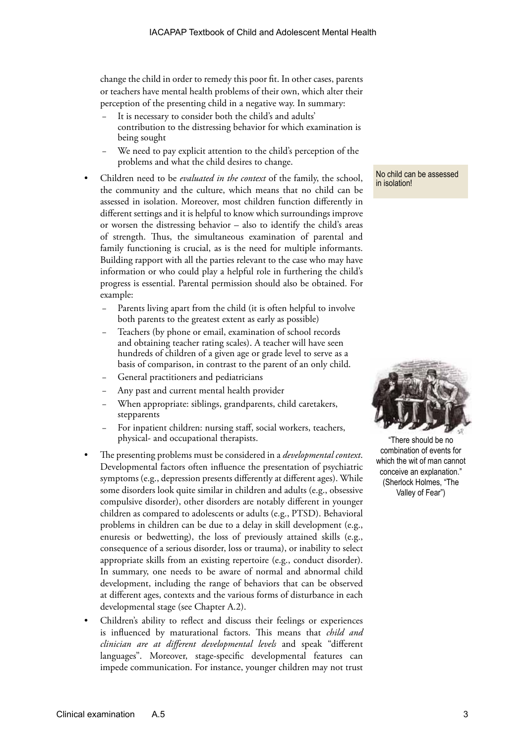change the child in order to remedy this poor fit. In other cases, parents or teachers have mental health problems of their own, which alter their perception of the presenting child in a negative way. In summary:

- It is necessary to consider both the child's and adults' contribution to the distressing behavior for which examination is being sought
- We need to pay explicit attention to the child's perception of the problems and what the child desires to change.
- Children need to be *evaluated in the context* of the family, the school, the community and the culture, which means that no child can be assessed in isolation. Moreover, most children function differently in different settings and it is helpful to know which surroundings improve or worsen the distressing behavior – also to identify the child's areas of strength. Thus, the simultaneous examination of parental and family functioning is crucial, as is the need for multiple informants. Building rapport with all the parties relevant to the case who may have information or who could play a helpful role in furthering the child's progress is essential. Parental permission should also be obtained. For example:
	- Parents living apart from the child (it is often helpful to involve both parents to the greatest extent as early as possible)
	- Teachers (by phone or email, examination of school records and obtaining teacher rating scales). A teacher will have seen hundreds of children of a given age or grade level to serve as a basis of comparison, in contrast to the parent of an only child.
	- General practitioners and pediatricians
	- Any past and current mental health provider
	- When appropriate: siblings, grandparents, child caretakers, stepparents
	- For inpatient children: nursing staff, social workers, teachers, physical- and occupational therapists.
- The presenting problems must be considered in a *developmental context*. Developmental factors often influence the presentation of psychiatric symptoms (e.g., depression presents differently at different ages). While some disorders look quite similar in children and adults (e.g., obsessive compulsive disorder), other disorders are notably different in younger children as compared to adolescents or adults (e.g., PTSD). Behavioral problems in children can be due to a delay in skill development (e.g., enuresis or bedwetting), the loss of previously attained skills (e.g., consequence of a serious disorder, loss or trauma), or inability to select appropriate skills from an existing repertoire (e.g., conduct disorder). In summary, one needs to be aware of normal and abnormal child development, including the range of behaviors that can be observed at different ages, contexts and the various forms of disturbance in each developmental stage (see Chapter A.2).
- Children's ability to reflect and discuss their feelings or experiences is influenced by maturational factors. This means that *child and clinician are at different developmental levels* and speak "different languages". Moreover, stage-specific developmental features can impede communication. For instance, younger children may not trust

No child can be assessed in isolation!



"There should be no combination of events for which the wit of man cannot conceive an explanation." (Sherlock Holmes, "The Valley of Fear")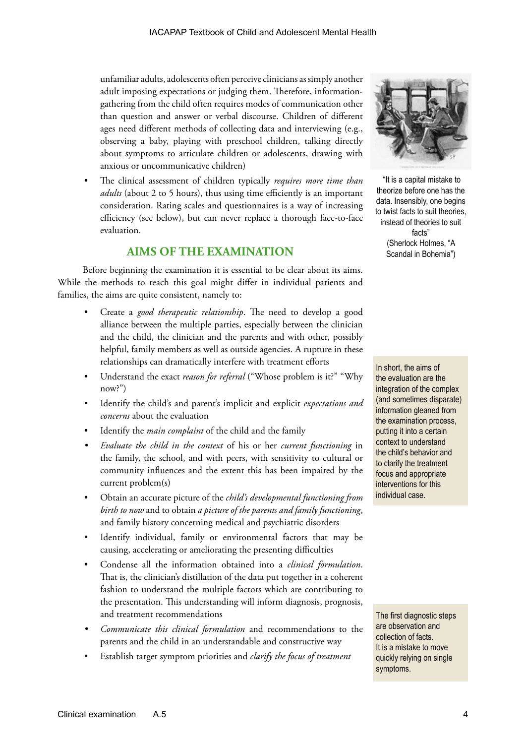unfamiliar adults, adolescents often perceive clinicians as simply another adult imposing expectations or judging them. Therefore, informationgathering from the child often requires modes of communication other than question and answer or verbal discourse. Children of different ages need different methods of collecting data and interviewing (e.g., observing a baby, playing with preschool children, talking directly about symptoms to articulate children or adolescents, drawing with anxious or uncommunicative children)

• The clinical assessment of children typically *requires more time than adults* (about 2 to 5 hours), thus using time efficiently is an important consideration. Rating scales and questionnaires is a way of increasing efficiency (see below), but can never replace a thorough face-to-face evaluation.

## **AIMS OF THE EXAMINATION**

Before beginning the examination it is essential to be clear about its aims. While the methods to reach this goal might differ in individual patients and families, the aims are quite consistent, namely to:

- Create a *good therapeutic relationship*. The need to develop a good alliance between the multiple parties, especially between the clinician and the child, the clinician and the parents and with other, possibly helpful, family members as well as outside agencies. A rupture in these relationships can dramatically interfere with treatment efforts
- Understand the exact *reason for referral* ("Whose problem is it?" "Why now?")
- Identify the child's and parent's implicit and explicit *expectations and concerns* about the evaluation
- Identify the *main complaint* of the child and the family
- *• Evaluate the child in the context* of his or her *current functioning* in the family, the school, and with peers, with sensitivity to cultural or community influences and the extent this has been impaired by the current problem(s)
- Obtain an accurate picture of the *child's developmental functioning from birth to now* and to obtain *a picture of the parents and family functioning*, and family history concerning medical and psychiatric disorders
- Identify individual, family or environmental factors that may be causing, accelerating or ameliorating the presenting difficulties
- Condense all the information obtained into a *clinical formulation*. That is, the clinician's distillation of the data put together in a coherent fashion to understand the multiple factors which are contributing to the presentation. This understanding will inform diagnosis, prognosis, and treatment recommendations
- *• Communicate this clinical formulation* and recommendations to the parents and the child in an understandable and constructive way
- Establish target symptom priorities and *clarify the focus of treatment*



 "It is a capital mistake to theorize before one has the data. Insensibly, one begins to twist facts to suit theories, instead of theories to suit facts" (Sherlock Holmes, "A Scandal in Bohemia")

In short, the aims of the evaluation are the integration of the complex (and sometimes disparate) information gleaned from the examination process, putting it into a certain context to understand the child's behavior and to clarify the treatment focus and appropriate interventions for this individual case.

The first diagnostic steps are observation and collection of facts. It is a mistake to move quickly relying on single symptoms.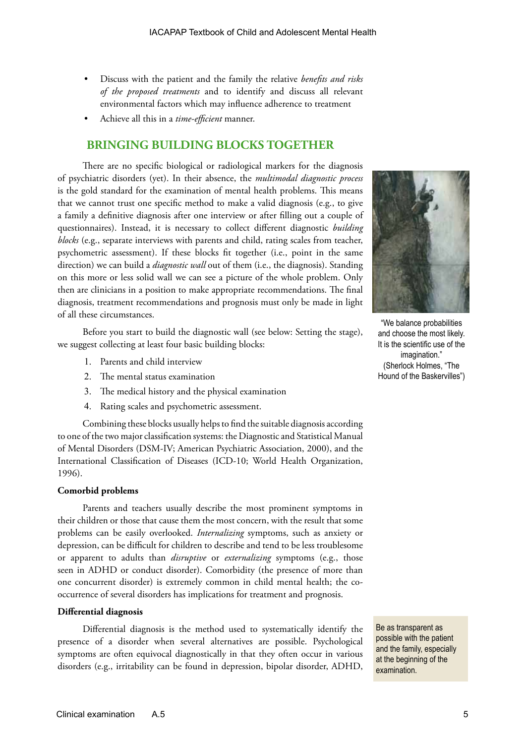- Discuss with the patient and the family the relative *benefits and risks of the proposed treatments* and to identify and discuss all relevant environmental factors which may influence adherence to treatment
- Achieve all this in a *time-efficient* manner.

## **BRINGING BUILDING BLOCKS TOGETHER**

There are no specific biological or radiological markers for the diagnosis of psychiatric disorders (yet). In their absence, the *multimodal diagnostic process* is the gold standard for the examination of mental health problems. This means that we cannot trust one specific method to make a valid diagnosis (e.g., to give a family a definitive diagnosis after one interview or after filling out a couple of questionnaires). Instead, it is necessary to collect different diagnostic *building blocks* (e.g., separate interviews with parents and child, rating scales from teacher, psychometric assessment). If these blocks fit together (i.e., point in the same direction) we can build a *diagnostic wall* out of them (i.e., the diagnosis). Standing on this more or less solid wall we can see a picture of the whole problem. Only then are clinicians in a position to make appropriate recommendations. The final diagnosis, treatment recommendations and prognosis must only be made in light of all these circumstances.

Before you start to build the diagnostic wall (see below: Setting the stage), we suggest collecting at least four basic building blocks:

- 1. Parents and child interview
- 2. The mental status examination
- 3. The medical history and the physical examination
- 4. Rating scales and psychometric assessment.

Combining these blocks usually helps to find the suitable diagnosis according to one of the two major classification systems: the Diagnostic and Statistical Manual of Mental Disorders (DSM-IV; American Psychiatric Association, 2000), and the International Classification of Diseases (ICD-10; World Health Organization, 1996).

#### **Comorbid problems**

Parents and teachers usually describe the most prominent symptoms in their children or those that cause them the most concern, with the result that some problems can be easily overlooked. *Internalizing* symptoms, such as anxiety or depression, can be difficult for children to describe and tend to be less troublesome or apparent to adults than *disruptive* or *externalizing* symptoms (e.g., those seen in ADHD or conduct disorder). Comorbidity (the presence of more than one concurrent disorder) is extremely common in child mental health; the cooccurrence of several disorders has implications for treatment and prognosis.

#### **Differential diagnosis**

Differential diagnosis is the method used to systematically identify the presence of a disorder when several alternatives are possible. Psychological symptoms are often equivocal diagnostically in that they often occur in various disorders (e.g., irritability can be found in depression, bipolar disorder, ADHD,



"We balance probabilities and choose the most likely. It is the scientific use of the imagination." (Sherlock Holmes, "The Hound of the Baskervilles")

Be as transparent as possible with the patient and the family, especially at the beginning of the examination.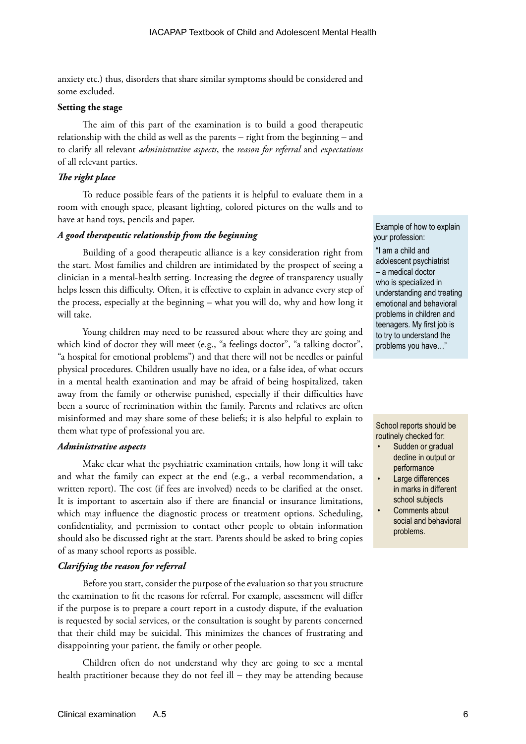anxiety etc.) thus, disorders that share similar symptoms should be considered and some excluded.

#### **Setting the stage**

The aim of this part of the examination is to build a good therapeutic relationship with the child as well as the parents − right from the beginning − and to clarify all relevant *administrative aspects*, the *reason for referral* and *expectations* of all relevant parties.

#### *The right place*

To reduce possible fears of the patients it is helpful to evaluate them in a room with enough space, pleasant lighting, colored pictures on the walls and to have at hand toys, pencils and paper.

#### *A good therapeutic relationship from the beginning*

Building of a good therapeutic alliance is a key consideration right from the start. Most families and children are intimidated by the prospect of seeing a clinician in a mental-health setting. Increasing the degree of transparency usually helps lessen this difficulty. Often, it is effective to explain in advance every step of the process, especially at the beginning – what you will do, why and how long it will take.

Young children may need to be reassured about where they are going and which kind of doctor they will meet (e.g., "a feelings doctor", "a talking doctor", "a hospital for emotional problems") and that there will not be needles or painful physical procedures. Children usually have no idea, or a false idea, of what occurs in a mental health examination and may be afraid of being hospitalized, taken away from the family or otherwise punished, especially if their difficulties have been a source of recrimination within the family. Parents and relatives are often misinformed and may share some of these beliefs; it is also helpful to explain to them what type of professional you are.

#### *Administrative aspects*

Make clear what the psychiatric examination entails, how long it will take and what the family can expect at the end (e.g., a verbal recommendation, a written report). The cost (if fees are involved) needs to be clarified at the onset. It is important to ascertain also if there are financial or insurance limitations, which may influence the diagnostic process or treatment options. Scheduling, confidentiality, and permission to contact other people to obtain information should also be discussed right at the start. Parents should be asked to bring copies of as many school reports as possible.

#### *Clarifying the reason for referral*

Before you start, consider the purpose of the evaluation so that you structure the examination to fit the reasons for referral. For example, assessment will differ if the purpose is to prepare a court report in a custody dispute, if the evaluation is requested by social services, or the consultation is sought by parents concerned that their child may be suicidal. This minimizes the chances of frustrating and disappointing your patient, the family or other people.

Children often do not understand why they are going to see a mental health practitioner because they do not feel ill − they may be attending because

 Example of how to explain your profession:

"I am a child and adolescent psychiatrist – a medical doctor who is specialized in understanding and treating emotional and behavioral problems in children and teenagers. My first job is to try to understand the problems you have…"

School reports should be routinely checked for:

- Sudden or gradual decline in output or performance
- Large differences in marks in different school subjects
- Comments about social and behavioral problems.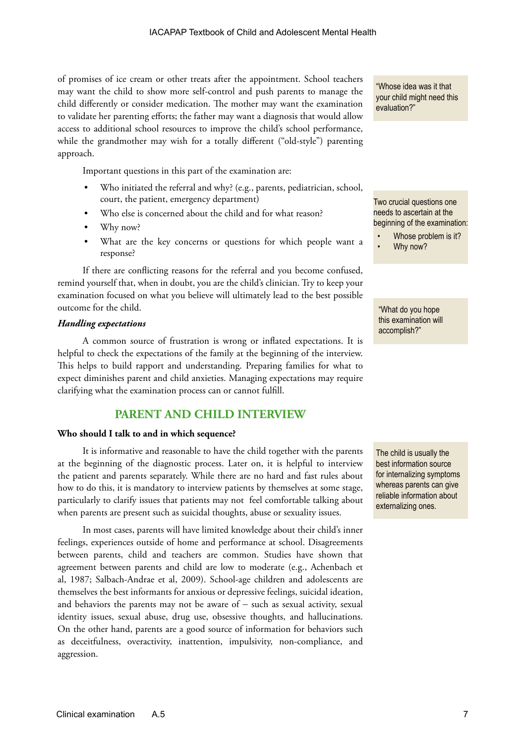of promises of ice cream or other treats after the appointment. School teachers may want the child to show more self-control and push parents to manage the child differently or consider medication. The mother may want the examination to validate her parenting efforts; the father may want a diagnosis that would allow access to additional school resources to improve the child's school performance, while the grandmother may wish for a totally different ("old-style") parenting approach.

Important questions in this part of the examination are:

- Who initiated the referral and why? (e.g., parents, pediatrician, school, court, the patient, emergency department)
- Who else is concerned about the child and for what reason?
- Why now?
- What are the key concerns or questions for which people want a response?

If there are conflicting reasons for the referral and you become confused, remind yourself that, when in doubt, you are the child's clinician. Try to keep your examination focused on what you believe will ultimately lead to the best possible outcome for the child.

#### *Handling expectations*

A common source of frustration is wrong or inflated expectations. It is helpful to check the expectations of the family at the beginning of the interview. This helps to build rapport and understanding. Preparing families for what to expect diminishes parent and child anxieties. Managing expectations may require clarifying what the examination process can or cannot fulfill.

## **PARENT AND CHILD INTERVIEW**

#### **Who should I talk to and in which sequence?**

It is informative and reasonable to have the child together with the parents at the beginning of the diagnostic process. Later on, it is helpful to interview the patient and parents separately. While there are no hard and fast rules about how to do this, it is mandatory to interview patients by themselves at some stage, particularly to clarify issues that patients may not feel comfortable talking about when parents are present such as suicidal thoughts, abuse or sexuality issues.

In most cases, parents will have limited knowledge about their child's inner feelings, experiences outside of home and performance at school. Disagreements between parents, child and teachers are common. Studies have shown that agreement between parents and child are low to moderate (e.g., Achenbach et al, 1987; Salbach-Andrae et al, 2009). School-age children and adolescents are themselves the best informants for anxious or depressive feelings, suicidal ideation, and behaviors the parents may not be aware of − such as sexual activity, sexual identity issues, sexual abuse, drug use, obsessive thoughts, and hallucinations. On the other hand, parents are a good source of information for behaviors such as deceitfulness, overactivity, inattention, impulsivity, non-compliance, and aggression.

"Whose idea was it that your child might need this evaluation?"

Two crucial questions one needs to ascertain at the beginning of the examination:

Whose problem is it? • Why now?

"What do you hope this examination will accomplish?"

The child is usually the best information source for internalizing symptoms whereas parents can give reliable information about externalizing ones.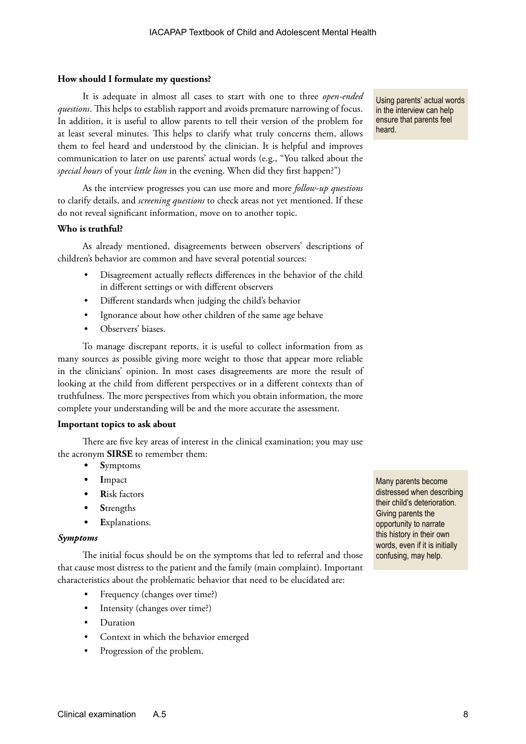#### **How should I formulate my questions?**

It is adequate in almost all cases to start with one to three *open-ended questions*. This helps to establish rapport and avoids premature narrowing of focus. In addition, it is useful to allow parents to tell their version of the problem for at least several minutes. This helps to clarify what truly concerns them, allows them to feel heard and understood by the clinician. It is helpful and improves communication to later on use parents' actual words (e.g., "You talked about the *special hours* of your *little lion* in the evening. When did they first happen?")

As the interview progresses you can use more and more *follow-up questions* to clarify details, and *screening questions* to check areas not yet mentioned. If these do not reveal significant information, move on to another topic.

#### **Who is truthful?**

As already mentioned, disagreements between observers' descriptions of children's behavior are common and have several potential sources:

- Disagreement actually reflects differences in the behavior of the child in different settings or with different observers
- Different standards when judging the child's behavior
- Ignorance about how other children of the same age behave
- Observers' biases.

To manage discrepant reports, it is useful to collect information from as many sources as possible giving more weight to those that appear more reliable in the clinicians' opinion. In most cases disagreements are more the result of looking at the child from different perspectives or in a different contexts than of truthfulness. The more perspectives from which you obtain information, the more complete your understanding will be and the more accurate the assessment.

#### **Important topics to ask about**

There are five key areas of interest in the clinical examination; you may use the acronym **SIRSE** to remember them:

- **• S**ymptoms
- **• I**mpact
- **• R**isk factors
- **• S**trengths
- **• E**xplanations.

#### *Symptoms*

The initial focus should be on the symptoms that led to referral and those that cause most distress to the patient and the family (main complaint). Important characteristics about the problematic behavior that need to be elucidated are:

- Frequency (changes over time?)
- Intensity (changes over time?)
- **Duration**
- Context in which the behavior emerged
- Progression of the problem.

Many parents become distressed when describing their child's deterioration. Giving parents the opportunity to narrate this history in their own words, even if it is initially confusing, may help.

Using parents' actual words in the interview can help ensure that parents feel heard.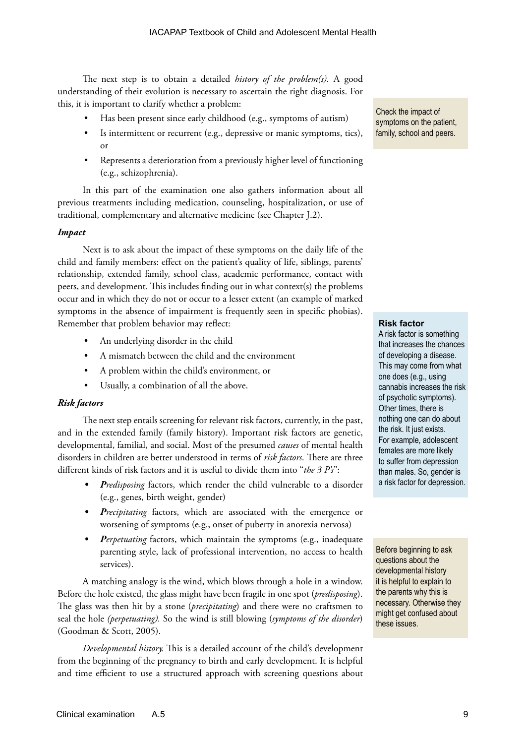The next step is to obtain a detailed *history of the problem(s).* A good understanding of their evolution is necessary to ascertain the right diagnosis. For this, it is important to clarify whether a problem:

- Has been present since early childhood (e.g., symptoms of autism)
- Is intermittent or recurrent (e.g., depressive or manic symptoms, tics), or
- Represents a deterioration from a previously higher level of functioning (e.g., schizophrenia).

In this part of the examination one also gathers information about all previous treatments including medication, counseling, hospitalization, or use of traditional, complementary and alternative medicine (see Chapter J.2).

#### *Impact*

Next is to ask about the impact of these symptoms on the daily life of the child and family members: effect on the patient's quality of life, siblings, parents' relationship, extended family, school class, academic performance, contact with peers, and development. This includes finding out in what context(s) the problems occur and in which they do not or occur to a lesser extent (an example of marked symptoms in the absence of impairment is frequently seen in specific phobias). Remember that problem behavior may reflect:

- An underlying disorder in the child
- A mismatch between the child and the environment
- A problem within the child's environment, or
- Usually, a combination of all the above.

#### *Risk factors*

The next step entails screening for relevant risk factors, currently, in the past, and in the extended family (family history). Important risk factors are genetic, developmental, familial, and social. Most of the presumed *causes* of mental health disorders in children are better understood in terms of *risk factors*. There are three different kinds of risk factors and it is useful to divide them into "*the 3 P's*":

- *• Predisposing* factors, which render the child vulnerable to a disorder (e.g., genes, birth weight, gender)
- *• Precipitating* factors, which are associated with the emergence or worsening of symptoms (e.g., onset of puberty in anorexia nervosa)
- *• Perpetuating* factors, which maintain the symptoms (e.g., inadequate parenting style, lack of professional intervention, no access to health services).

A matching analogy is the wind, which blows through a hole in a window. Before the hole existed, the glass might have been fragile in one spot (*predisposing*). The glass was then hit by a stone (*precipitating*) and there were no craftsmen to seal the hole *(perpetuating).* So the wind is still blowing (*symptoms of the disorder*) (Goodman & Scott, 2005).

*Developmental history.* This is a detailed account of the child's development from the beginning of the pregnancy to birth and early development. It is helpful and time efficient to use a structured approach with screening questions about Check the impact of symptoms on the patient, family, school and peers.

#### **Risk factor**

A risk factor is something that increases the chances of developing a disease. This may come from what one does (e.g., using cannabis increases the risk of psychotic symptoms). Other times, there is nothing one can do about the risk. It just exists. For example, adolescent females are more likely to suffer from depression than males. So, gender is a risk factor for depression.

Before beginning to ask questions about the developmental history it is helpful to explain to the parents why this is necessary. Otherwise they might get confused about these issues.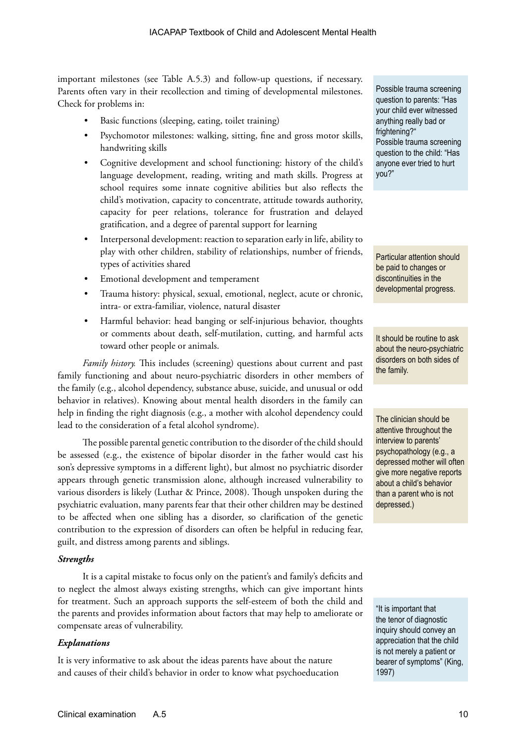important milestones (see Table A.5.3) and follow-up questions, if necessary. Parents often vary in their recollection and timing of developmental milestones. Check for problems in:

- Basic functions (sleeping, eating, toilet training)
- Psychomotor milestones: walking, sitting, fine and gross motor skills, handwriting skills
- Cognitive development and school functioning: history of the child's language development, reading, writing and math skills. Progress at school requires some innate cognitive abilities but also reflects the child's motivation, capacity to concentrate, attitude towards authority, capacity for peer relations, tolerance for frustration and delayed gratification, and a degree of parental support for learning
- Interpersonal development: reaction to separation early in life, ability to play with other children, stability of relationships, number of friends, types of activities shared
- Emotional development and temperament
- Trauma history: physical, sexual, emotional, neglect, acute or chronic, intra- or extra-familiar, violence, natural disaster
- Harmful behavior: head banging or self-injurious behavior, thoughts or comments about death, self-mutilation, cutting, and harmful acts toward other people or animals.

*Family history.* This includes (screening) questions about current and past family functioning and about neuro-psychiatric disorders in other members of the family (e.g., alcohol dependency, substance abuse, suicide, and unusual or odd behavior in relatives). Knowing about mental health disorders in the family can help in finding the right diagnosis (e.g., a mother with alcohol dependency could lead to the consideration of a fetal alcohol syndrome).

The possible parental genetic contribution to the disorder of the child should be assessed (e.g., the existence of bipolar disorder in the father would cast his son's depressive symptoms in a different light), but almost no psychiatric disorder appears through genetic transmission alone, although increased vulnerability to various disorders is likely (Luthar & Prince, 2008). Though unspoken during the psychiatric evaluation, many parents fear that their other children may be destined to be affected when one sibling has a disorder, so clarification of the genetic contribution to the expression of disorders can often be helpful in reducing fear, guilt, and distress among parents and siblings.

#### *Strengths*

It is a capital mistake to focus only on the patient's and family's deficits and to neglect the almost always existing strengths, which can give important hints for treatment. Such an approach supports the self-esteem of both the child and the parents and provides information about factors that may help to ameliorate or compensate areas of vulnerability.

#### *Explanations*

It is very informative to ask about the ideas parents have about the nature and causes of their child's behavior in order to know what psychoeducation

Possible trauma screening question to parents: "Has your child ever witnessed anything really bad or frightening?" Possible trauma screening question to the child: "Has anyone ever tried to hurt you?"

Particular attention should be paid to changes or discontinuities in the developmental progress.

It should be routine to ask about the neuro-psychiatric disorders on both sides of the family.

The clinician should be attentive throughout the interview to parents' psychopathology (e.g., a depressed mother will often give more negative reports about a child's behavior than a parent who is not depressed.)

"It is important that the tenor of diagnostic inquiry should convey an appreciation that the child is not merely a patient or bearer of symptoms" (King, 1997)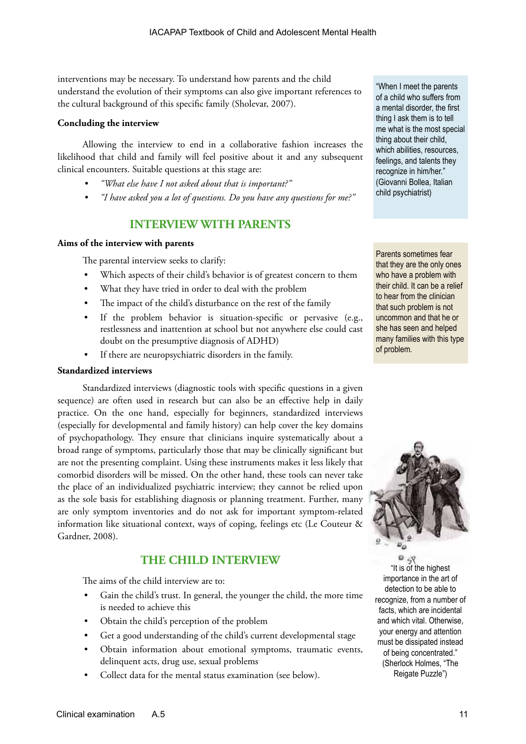interventions may be necessary. To understand how parents and the child understand the evolution of their symptoms can also give important references to the cultural background of this specific family (Sholevar, 2007).

#### **Concluding the interview**

Allowing the interview to end in a collaborative fashion increases the likelihood that child and family will feel positive about it and any subsequent clinical encounters. Suitable questions at this stage are:

- *• "What else have I not asked about that is important?"*
- *• "I have asked you a lot of questions. Do you have any questions for me?"*

## **INTERVIEW WITH PARENTS**

#### **Aims of the interview with parents**

The parental interview seeks to clarify:

- Which aspects of their child's behavior is of greatest concern to them
- What they have tried in order to deal with the problem
- The impact of the child's disturbance on the rest of the family
- If the problem behavior is situation-specific or pervasive (e.g., restlessness and inattention at school but not anywhere else could cast doubt on the presumptive diagnosis of ADHD)
- If there are neuropsychiatric disorders in the family.

#### **Standardized interviews**

Standardized interviews (diagnostic tools with specific questions in a given sequence) are often used in research but can also be an effective help in daily practice. On the one hand, especially for beginners, standardized interviews (especially for developmental and family history) can help cover the key domains of psychopathology. They ensure that clinicians inquire systematically about a broad range of symptoms, particularly those that may be clinically significant but are not the presenting complaint. Using these instruments makes it less likely that comorbid disorders will be missed. On the other hand, these tools can never take the place of an individualized psychiatric interview; they cannot be relied upon as the sole basis for establishing diagnosis or planning treatment. Further, many are only symptom inventories and do not ask for important symptom-related information like situational context, ways of coping, feelings etc (Le Couteur & Gardner, 2008).

## **THE CHILD INTERVIEW**

The aims of the child interview are to:

- Gain the child's trust. In general, the younger the child, the more time is needed to achieve this
- Obtain the child's perception of the problem
- Get a good understanding of the child's current developmental stage
- Obtain information about emotional symptoms, traumatic events, delinquent acts, drug use, sexual problems
- Collect data for the mental status examination (see below).

"When I meet the parents of a child who suffers from a mental disorder, the first thing I ask them is to tell me what is the most special thing about their child, which abilities, resources, feelings, and talents they recognize in him/her." (Giovanni Bollea, Italian child psychiatrist)

Parents sometimes fear that they are the only ones who have a problem with their child. It can be a relief to hear from the clinician that such problem is not uncommon and that he or she has seen and helped many families with this type of problem.



"It is of the highest importance in the art of detection to be able to recognize, from a number of facts, which are incidental and which vital. Otherwise, your energy and attention must be dissipated instead of being concentrated." (Sherlock Holmes, "The Reigate Puzzle")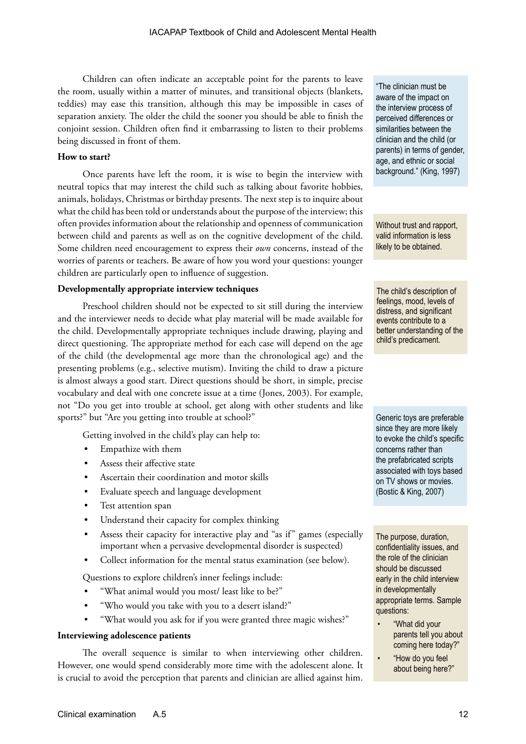Children can often indicate an acceptable point for the parents to leave the room, usually within a matter of minutes, and transitional objects (blankets, teddies) may ease this transition, although this may be impossible in cases of separation anxiety. The older the child the sooner you should be able to finish the conjoint session. Children often find it embarrassing to listen to their problems being discussed in front of them.

#### **How to start?**

Once parents have left the room, it is wise to begin the interview with neutral topics that may interest the child such as talking about favorite hobbies, animals, holidays, Christmas or birthday presents. The next step is to inquire about what the child has been told or understands about the purpose of the interview; this often provides information about the relationship and openness of communication between child and parents as well as on the cognitive development of the child. Some children need encouragement to express their *own* concerns, instead of the worries of parents or teachers. Be aware of how you word your questions: younger children are particularly open to influence of suggestion.

#### **Developmentally appropriate interview techniques**

Preschool children should not be expected to sit still during the interview and the interviewer needs to decide what play material will be made available for the child. Developmentally appropriate techniques include drawing, playing and direct questioning. The appropriate method for each case will depend on the age of the child (the developmental age more than the chronological age) and the presenting problems (e.g., selective mutism). Inviting the child to draw a picture is almost always a good start. Direct questions should be short, in simple, precise vocabulary and deal with one concrete issue at a time (Jones, 2003). For example, not "Do you get into trouble at school, get along with other students and like sports?" but "Are you getting into trouble at school?"

Getting involved in the child's play can help to:

- Empathize with them
- Assess their affective state
- Ascertain their coordination and motor skills
- Evaluate speech and language development
- Test attention span
- Understand their capacity for complex thinking
- Assess their capacity for interactive play and "as if" games (especially important when a pervasive developmental disorder is suspected)
- Collect information for the mental status examination (see below).

Questions to explore children's inner feelings include:

- "What animal would you most/ least like to be?"
- "Who would you take with you to a desert island?"
- "What would you ask for if you were granted three magic wishes?"

#### **Interviewing adolescence patients**

The overall sequence is similar to when interviewing other children. However, one would spend considerably more time with the adolescent alone. It is crucial to avoid the perception that parents and clinician are allied against him.

"The clinician must be aware of the impact on the interview process of perceived differences or similarities between the clinician and the child (or parents) in terms of gender, age, and ethnic or social background." (King, 1997)

Without trust and rapport, valid information is less likely to be obtained.

The child's description of feelings, mood, levels of distress, and significant events contribute to a better understanding of the child's predicament.

Generic toys are preferable since they are more likely to evoke the child's specific concerns rather than the prefabricated scripts associated with toys based on TV shows or movies. (Bostic & King, 2007)

The purpose, duration, confidentiality issues, and the role of the clinician should be discussed early in the child interview in developmentally appropriate terms. Sample questions:

- "What did your parents tell you about coming here today?"
- "How do you feel about being here?"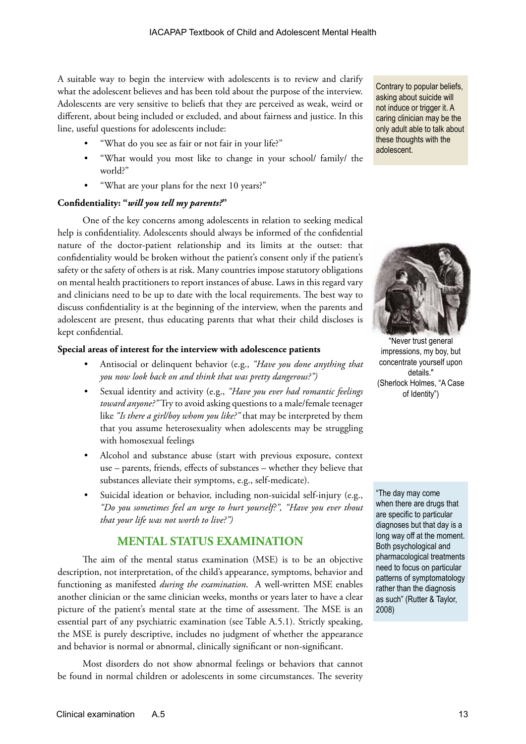A suitable way to begin the interview with adolescents is to review and clarify what the adolescent believes and has been told about the purpose of the interview. Adolescents are very sensitive to beliefs that they are perceived as weak, weird or different, about being included or excluded, and about fairness and justice. In this line, useful questions for adolescents include:

- "What do you see as fair or not fair in your life?"
- "What would you most like to change in your school/ family/ the world?"
- "What are your plans for the next 10 years?"

#### **Confidentiality: "***will you tell my parents?***"**

One of the key concerns among adolescents in relation to seeking medical help is confidentiality. Adolescents should always be informed of the confidential nature of the doctor-patient relationship and its limits at the outset: that confidentiality would be broken without the patient's consent only if the patient's safety or the safety of others is at risk. Many countries impose statutory obligations on mental health practitioners to report instances of abuse. Laws in this regard vary and clinicians need to be up to date with the local requirements. The best way to discuss confidentiality is at the beginning of the interview, when the parents and adolescent are present, thus educating parents that what their child discloses is kept confidential.

#### **Special areas of interest for the interview with adolescence patients**

- Antisocial or delinquent behavior (e.g., *"Have you done anything that you now look back on and think that was pretty dangerous?")*
- Sexual identity and activity (e.g., *"Have you ever had romantic feelings toward anyone?"* Try to avoid asking questions to a male/female teenager like *"Is there a girl/boy whom you like?"* that may be interpreted by them that you assume heterosexuality when adolescents may be struggling with homosexual feelings
- Alcohol and substance abuse (start with previous exposure, context use – parents, friends, effects of substances – whether they believe that substances alleviate their symptoms, e.g., self-medicate).
- Suicidal ideation or behavior, including non-suicidal self-injury (e.g., *"Do you sometimes feel an urge to hurt yourself?", "Have you ever thout that your life was not worth to live?")*

## **MENTAL STATUS EXAMINATION**

The aim of the mental status examination (MSE) is to be an objective description, not interpretation, of the child's appearance, symptoms, behavior and functioning as manifested *during the examination*. A well-written MSE enables another clinician or the same clinician weeks, months or years later to have a clear picture of the patient's mental state at the time of assessment. The MSE is an essential part of any psychiatric examination (see Table A.5.1). Strictly speaking, the MSE is purely descriptive, includes no judgment of whether the appearance and behavior is normal or abnormal, clinically significant or non-significant.

Most disorders do not show abnormal feelings or behaviors that cannot be found in normal children or adolescents in some circumstances. The severity

Contrary to popular beliefs, asking about suicide will not induce or trigger it. A caring clinician may be the only adult able to talk about these thoughts with the adolescent.



"Never trust general impressions, my boy, but concentrate yourself upon details." (Sherlock Holmes, "A Case of Identity")

"The day may come when there are drugs that are specific to particular diagnoses but that day is a long way off at the moment. Both psychological and pharmacological treatments need to focus on particular patterns of symptomatology rather than the diagnosis as such" (Rutter & Taylor, 2008)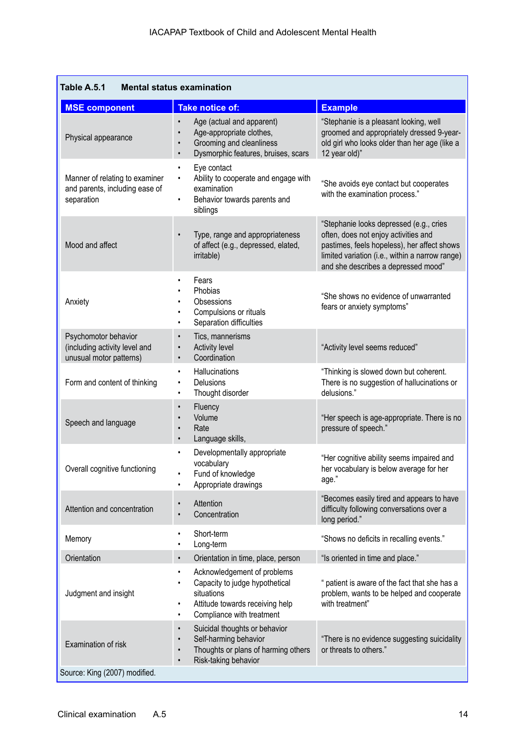| Table A.5.1<br><b>Mental status examination</b>                                  |                                                                                                                                                                 |                                                                                                                                                                                                                          |  |  |  |
|----------------------------------------------------------------------------------|-----------------------------------------------------------------------------------------------------------------------------------------------------------------|--------------------------------------------------------------------------------------------------------------------------------------------------------------------------------------------------------------------------|--|--|--|
| <b>MSE component</b>                                                             | <b>Take notice of:</b>                                                                                                                                          | <b>Example</b>                                                                                                                                                                                                           |  |  |  |
| Physical appearance                                                              | Age (actual and apparent)<br>$\bullet$<br>Age-appropriate clothes,<br>Grooming and cleanliness<br>Dysmorphic features, bruises, scars<br>$\bullet$              | "Stephanie is a pleasant looking, well<br>groomed and appropriately dressed 9-year-<br>old girl who looks older than her age (like a<br>12 year old)"                                                                    |  |  |  |
| Manner of relating to examiner<br>and parents, including ease of<br>separation   | Eye contact<br>٠<br>Ability to cooperate and engage with<br>examination<br>Behavior towards parents and<br>$\bullet$<br>siblings                                | "She avoids eye contact but cooperates<br>with the examination process."                                                                                                                                                 |  |  |  |
| Mood and affect                                                                  | Type, range and appropriateness<br>$\bullet$<br>of affect (e.g., depressed, elated,<br>irritable)                                                               | "Stephanie looks depressed (e.g., cries<br>often, does not enjoy activities and<br>pastimes, feels hopeless), her affect shows<br>limited variation (i.e., within a narrow range)<br>and she describes a depressed mood" |  |  |  |
| Anxiety                                                                          | Fears<br>$\bullet$<br>Phobias<br>Obsessions<br>Compulsions or rituals<br>Separation difficulties<br>٠                                                           | "She shows no evidence of unwarranted<br>fears or anxiety symptoms"                                                                                                                                                      |  |  |  |
| Psychomotor behavior<br>(including activity level and<br>unusual motor patterns) | Tics, mannerisms<br>$\bullet$<br><b>Activity level</b><br>Coordination<br>$\bullet$                                                                             | "Activity level seems reduced"                                                                                                                                                                                           |  |  |  |
| Form and content of thinking                                                     | Hallucinations<br>Delusions<br>Thought disorder<br>٠                                                                                                            | "Thinking is slowed down but coherent.<br>There is no suggestion of hallucinations or<br>delusions."                                                                                                                     |  |  |  |
| Speech and language                                                              | Fluency<br>$\bullet$<br>Volume<br>Rate<br>Language skills,<br>$\bullet$                                                                                         | "Her speech is age-appropriate. There is no<br>pressure of speech."                                                                                                                                                      |  |  |  |
| Overall cognitive functioning                                                    | Developmentally appropriate<br>$\bullet$<br>vocabulary<br>Fund of knowledge<br>Appropriate drawings<br>٠                                                        | "Her cognitive ability seems impaired and<br>her vocabulary is below average for her<br>age."                                                                                                                            |  |  |  |
| Attention and concentration                                                      | Attention<br>$\bullet$<br>Concentration                                                                                                                         | "Becomes easily tired and appears to have<br>difficulty following conversations over a<br>long period."                                                                                                                  |  |  |  |
| Memory                                                                           | Short-term<br>$\bullet$<br>Long-term<br>٠                                                                                                                       | "Shows no deficits in recalling events."                                                                                                                                                                                 |  |  |  |
| Orientation                                                                      | Orientation in time, place, person<br>$\bullet$                                                                                                                 | "Is oriented in time and place."                                                                                                                                                                                         |  |  |  |
| Judgment and insight                                                             | Acknowledgement of problems<br>٠<br>Capacity to judge hypothetical<br>٠<br>situations<br>Attitude towards receiving help<br>٠<br>Compliance with treatment<br>٠ | " patient is aware of the fact that she has a<br>problem, wants to be helped and cooperate<br>with treatment"                                                                                                            |  |  |  |
| Examination of risk                                                              | Suicidal thoughts or behavior<br>$\bullet$<br>Self-harming behavior<br>Thoughts or plans of harming others<br>Risk-taking behavior<br>$\bullet$                 | "There is no evidence suggesting suicidality<br>or threats to others."                                                                                                                                                   |  |  |  |
| Source: King (2007) modified.                                                    |                                                                                                                                                                 |                                                                                                                                                                                                                          |  |  |  |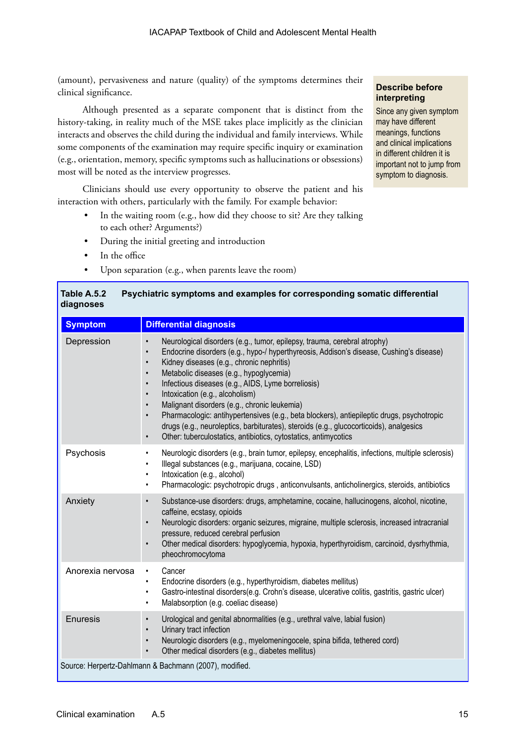(amount), pervasiveness and nature (quality) of the symptoms determines their clinical significance.

Although presented as a separate component that is distinct from the history-taking, in reality much of the MSE takes place implicitly as the clinician interacts and observes the child during the individual and family interviews. While some components of the examination may require specific inquiry or examination (e.g., orientation, memory, specific symptoms such as hallucinations or obsessions) most will be noted as the interview progresses.

Clinicians should use every opportunity to observe the patient and his interaction with others, particularly with the family. For example behavior:

• In the waiting room (e.g., how did they choose to sit? Are they talking to each other? Arguments?)

**Table A.5.2 Psychiatric symptoms and examples for corresponding somatic differential** 

- During the initial greeting and introduction
- In the office
- Upon separation (e.g., when parents leave the room)

#### **Describe before interpreting**

Since any given symptom may have different meanings, functions and clinical implications in different children it is important not to jump from symptom to diagnosis.

| diagnoses        |                                                                                                                                                                                                                                                                                                                                                                                                                                                                                                                                                                                                                                                                                                                                                                                     |  |
|------------------|-------------------------------------------------------------------------------------------------------------------------------------------------------------------------------------------------------------------------------------------------------------------------------------------------------------------------------------------------------------------------------------------------------------------------------------------------------------------------------------------------------------------------------------------------------------------------------------------------------------------------------------------------------------------------------------------------------------------------------------------------------------------------------------|--|
| <b>Symptom</b>   | Differential diagnosis                                                                                                                                                                                                                                                                                                                                                                                                                                                                                                                                                                                                                                                                                                                                                              |  |
| Depression       | Neurological disorders (e.g., tumor, epilepsy, trauma, cerebral atrophy)<br>$\bullet$<br>Endocrine disorders (e.g., hypo-/ hyperthyreosis, Addison's disease, Cushing's disease)<br>$\bullet$<br>Kidney diseases (e.g., chronic nephritis)<br>$\bullet$<br>Metabolic diseases (e.g., hypoglycemia)<br>$\bullet$<br>Infectious diseases (e.g., AIDS, Lyme borreliosis)<br>$\bullet$<br>Intoxication (e.g., alcoholism)<br>$\bullet$<br>Malignant disorders (e.g., chronic leukemia)<br>$\bullet$<br>Pharmacologic: antihypertensives (e.g., beta blockers), antiepileptic drugs, psychotropic<br>$\bullet$<br>drugs (e.g., neuroleptics, barbiturates), steroids (e.g., glucocorticoids), analgesics<br>Other: tuberculostatics, antibiotics, cytostatics, antimycotics<br>$\bullet$ |  |
| Psychosis        | Neurologic disorders (e.g., brain tumor, epilepsy, encephalitis, infections, multiple sclerosis)<br>$\bullet$<br>Illegal substances (e.g., marijuana, cocaine, LSD)<br>$\bullet$<br>Intoxication (e.g., alcohol)<br>$\bullet$<br>Pharmacologic: psychotropic drugs, anticonvulsants, anticholinergics, steroids, antibiotics<br>$\bullet$                                                                                                                                                                                                                                                                                                                                                                                                                                           |  |
| Anxiety          | Substance-use disorders: drugs, amphetamine, cocaine, hallucinogens, alcohol, nicotine,<br>$\bullet$<br>caffeine, ecstasy, opioids<br>Neurologic disorders: organic seizures, migraine, multiple sclerosis, increased intracranial<br>$\bullet$<br>pressure, reduced cerebral perfusion<br>Other medical disorders: hypoglycemia, hypoxia, hyperthyroidism, carcinoid, dysrhythmia,<br>$\bullet$<br>pheochromocytoma                                                                                                                                                                                                                                                                                                                                                                |  |
| Anorexia nervosa | Cancer<br>$\bullet$<br>Endocrine disorders (e.g., hyperthyroidism, diabetes mellitus)<br>$\bullet$<br>Gastro-intestinal disorders(e.g. Crohn's disease, ulcerative colitis, gastritis, gastric ulcer)<br>$\bullet$<br>Malabsorption (e.g. coeliac disease)<br>$\bullet$                                                                                                                                                                                                                                                                                                                                                                                                                                                                                                             |  |
| Enuresis         | Urological and genital abnormalities (e.g., urethral valve, labial fusion)<br>$\bullet$<br>Urinary tract infection<br>Neurologic disorders (e.g., myelomeningocele, spina bifida, tethered cord)<br>$\bullet$<br>Other medical disorders (e.g., diabetes mellitus)<br>$\bullet$                                                                                                                                                                                                                                                                                                                                                                                                                                                                                                     |  |
|                  | Source: Herpertz-Dahlmann & Bachmann (2007), modified.                                                                                                                                                                                                                                                                                                                                                                                                                                                                                                                                                                                                                                                                                                                              |  |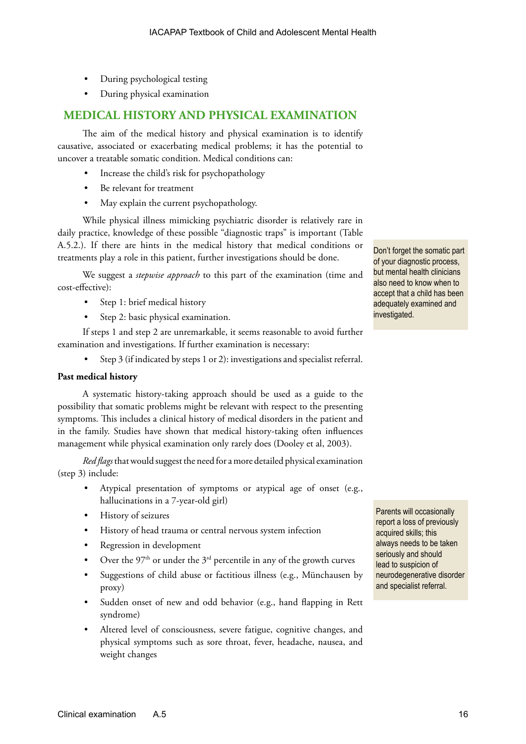- During psychological testing
- During physical examination

## **MEDICAL HISTORY AND PHYSICAL EXAMINATION**

The aim of the medical history and physical examination is to identify causative, associated or exacerbating medical problems; it has the potential to uncover a treatable somatic condition. Medical conditions can:

- Increase the child's risk for psychopathology
- Be relevant for treatment
- May explain the current psychopathology.

While physical illness mimicking psychiatric disorder is relatively rare in daily practice, knowledge of these possible "diagnostic traps" is important (Table A.5.2.). If there are hints in the medical history that medical conditions or treatments play a role in this patient, further investigations should be done.

We suggest a *stepwise approach* to this part of the examination (time and cost-effective):

- Step 1: brief medical history
- Step 2: basic physical examination.

If steps 1 and step 2 are unremarkable, it seems reasonable to avoid further examination and investigations. If further examination is necessary:

Step 3 (if indicated by steps 1 or 2): investigations and specialist referral.

#### **Past medical history**

A systematic history-taking approach should be used as a guide to the possibility that somatic problems might be relevant with respect to the presenting symptoms. This includes a clinical history of medical disorders in the patient and in the family. Studies have shown that medical history-taking often influences management while physical examination only rarely does (Dooley et al, 2003).

*Red flags* that would suggest the need for a more detailed physical examination (step 3) include:

- Atypical presentation of symptoms or atypical age of onset (e.g., hallucinations in a 7-year-old girl)
- History of seizures
- History of head trauma or central nervous system infection
- Regression in development
- Over the  $97<sup>th</sup>$  or under the  $3<sup>rd</sup>$  percentile in any of the growth curves
- Suggestions of child abuse or factitious illness (e.g., Münchausen by proxy)
- Sudden onset of new and odd behavior (e.g., hand flapping in Rett syndrome)
- Altered level of consciousness, severe fatigue, cognitive changes, and physical symptoms such as sore throat, fever, headache, nausea, and weight changes

Don't forget the somatic part of your diagnostic process, but mental health clinicians also need to know when to accept that a child has been adequately examined and investigated.

Parents will occasionally report a loss of previously acquired skills; this always needs to be taken seriously and should lead to suspicion of neurodegenerative disorder and specialist referral.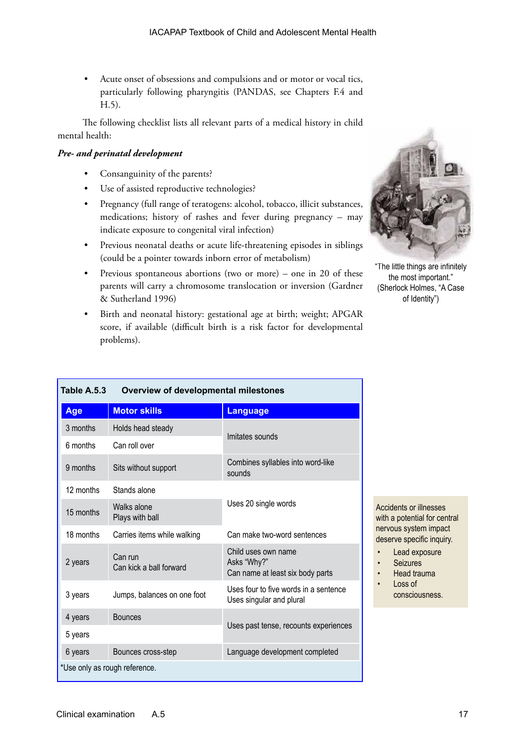• Acute onset of obsessions and compulsions and or motor or vocal tics, particularly following pharyngitis (PANDAS, see Chapters F.4 and H.5).

The following checklist lists all relevant parts of a medical history in child mental health:

#### *Pre- and perinatal development*

- Consanguinity of the parents?
- Use of assisted reproductive technologies?
- Pregnancy (full range of teratogens: alcohol, tobacco, illicit substances, medications; history of rashes and fever during pregnancy – may indicate exposure to congenital viral infection)
- Previous neonatal deaths or acute life-threatening episodes in siblings (could be a pointer towards inborn error of metabolism)
- Previous spontaneous abortions (two or more) one in 20 of these parents will carry a chromosome translocation or inversion (Gardner & Sutherland 1996)
- Birth and neonatal history: gestational age at birth; weight; APGAR score, if available (difficult birth is a risk factor for developmental problems).



"The little things are infinitely the most important." (Sherlock Holmes, "A Case of Identity")

| Table A.5.3 | Overview of developmental milestones |                                                                        |  |
|-------------|--------------------------------------|------------------------------------------------------------------------|--|
| Age         | <b>Motor skills</b>                  | <b>Language</b>                                                        |  |
| 3 months    | Holds head steady                    |                                                                        |  |
| 6 months    | Can roll over                        | Imitates sounds                                                        |  |
| 9 months    | Sits without support                 | Combines syllables into word-like<br>sounds                            |  |
| 12 months   | Stands alone                         |                                                                        |  |
| 15 months   | Walks alone<br>Plays with ball       | Uses 20 single words                                                   |  |
| 18 months   | Carries items while walking          | Can make two-word sentences                                            |  |
| 2 years     | Can run<br>Can kick a ball forward   | Child uses own name<br>Asks "Why?"<br>Can name at least six body parts |  |
| 3 years     | Jumps, balances on one foot          | Uses four to five words in a sentence<br>Uses singular and plural      |  |
| 4 years     | <b>Bounces</b>                       | Uses past tense, recounts experiences                                  |  |
| 5 years     |                                      |                                                                        |  |
| 6 years     | Bounces cross-step                   | Language development completed                                         |  |
|             | *Use only as rough reference.        |                                                                        |  |

Accidents or illnesses with a potential for central nervous system impact deserve specific inquiry.

- Lead exposure
- **Seizures**
- Head trauma
- Loss of
	- consciousness.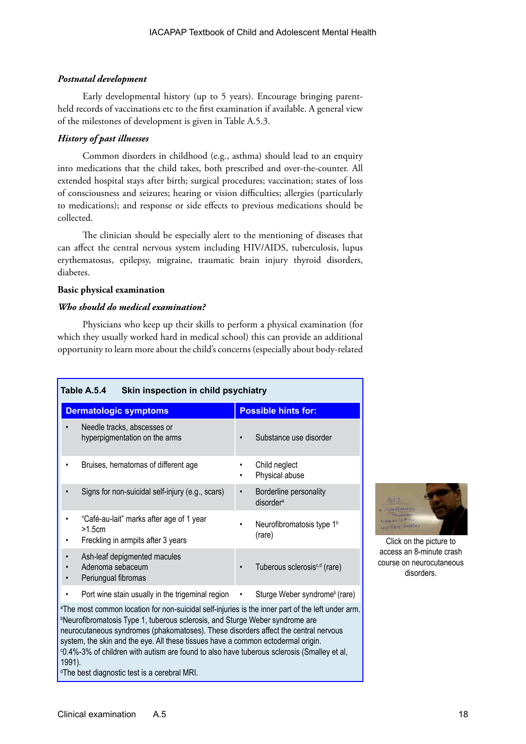## *Postnatal development*

Early developmental history (up to 5 years). Encourage bringing parentheld records of vaccinations etc to the first examination if available. A general view of the milestones of development is given in Table A.5.3.

## *History of past illnesses*

Common disorders in childhood (e.g., asthma) should lead to an enquiry into medications that the child takes, both prescribed and over-the-counter. All extended hospital stays after birth; surgical procedures; vaccination; states of loss of consciousness and seizures; hearing or vision difficulties; allergies (particularly to medications); and response or side effects to previous medications should be collected.

The clinician should be especially alert to the mentioning of diseases that can affect the central nervous system including HIV/AIDS, tuberculosis, lupus erythematosus, epilepsy, migraine, traumatic brain injury thyroid disorders, diabetes.

### **Basic physical examination**

### *Who should do medical examination?*

Physicians who keep up their skills to perform a physical examination (for which they usually worked hard in medical school) this can provide an additional opportunity to learn more about the child's concerns (especially about body-related

| Table A.5.4<br>Skin inspection in child psychiatry                                                                                                                                                                                                                                                                                                                                   |                                                              |  |  |  |
|--------------------------------------------------------------------------------------------------------------------------------------------------------------------------------------------------------------------------------------------------------------------------------------------------------------------------------------------------------------------------------------|--------------------------------------------------------------|--|--|--|
| <b>Dermatologic symptoms</b>                                                                                                                                                                                                                                                                                                                                                         | <b>Possible hints for:</b>                                   |  |  |  |
| Needle tracks, abscesses or<br>hyperpigmentation on the arms                                                                                                                                                                                                                                                                                                                         | Substance use disorder<br>٠                                  |  |  |  |
| Bruises, hematomas of different age                                                                                                                                                                                                                                                                                                                                                  | Child neglect<br>٠<br>Physical abuse<br>٠                    |  |  |  |
| Signs for non-suicidal self-injury (e.g., scars)                                                                                                                                                                                                                                                                                                                                     | Borderline personality<br>$\bullet$<br>disorder <sup>a</sup> |  |  |  |
| "Café-au-lait" marks after age of 1 year<br>>1.5cm<br>Freckling in armpits after 3 years                                                                                                                                                                                                                                                                                             | Neurofibromatosis type 1 <sup>b</sup><br>(rare)              |  |  |  |
| Ash-leaf depigmented macules<br>Adenoma sebaceum<br>Periungual fibromas                                                                                                                                                                                                                                                                                                              | Tuberous sclerosis <sup>c,d</sup> (rare)<br>$\bullet$        |  |  |  |
| Port wine stain usually in the trigeminal region                                                                                                                                                                                                                                                                                                                                     | Sturge Weber syndrome <sup>b</sup> (rare)<br>$\bullet$       |  |  |  |
| <sup>a</sup> The most common location for non-suicidal self-injuries is the inner part of the left under arm.<br><sup>b</sup> Neurofibromatosis Type 1, tuberous sclerosis, and Sturge Weber syndrome are<br>neurocutaneous syndromes (phakomatoses). These disorders affect the central nervous<br>system, the skin and the eye. All these tissues have a common ectodermal origin. |                                                              |  |  |  |

c 0.4%-3% of children with autism are found to also have tuberous sclerosis (Smalley et al,

Click on the picture to access an 8-minute crash course on neurocutaneous disorders.

1991).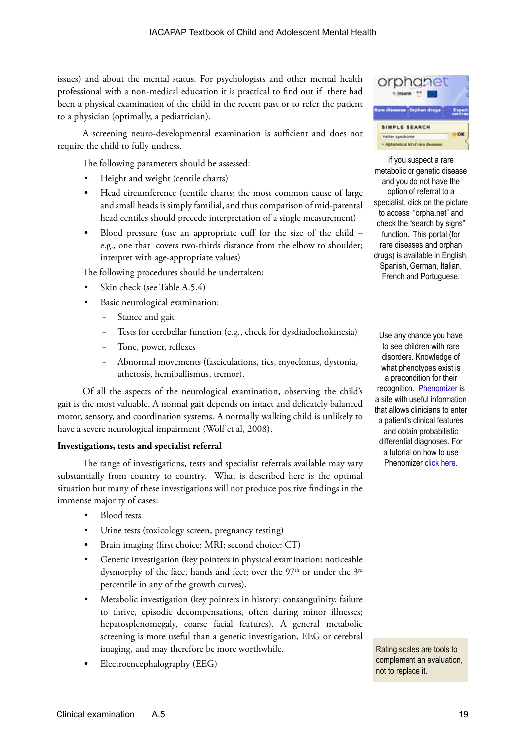issues) and about the mental status. For psychologists and other mental health professional with a non-medical education it is practical to find out if there had been a physical examination of the child in the recent past or to refer the patient to a physician (optimally, a pediatrician).

A screening neuro-developmental examination is sufficient and does not require the child to fully undress.

The following parameters should be assessed:

- Height and weight (centile charts)
- Head circumference (centile charts; the most common cause of large and small heads is simply familial, and thus comparison of mid-parental head centiles should precede interpretation of a single measurement)
- Blood pressure (use an appropriate cuff for the size of the child e.g., one that covers two-thirds distance from the elbow to shoulder; interpret with age-appropriate values)

The following procedures should be undertaken:

- Skin check (see Table A.5.4)
- Basic neurological examination:
	- Stance and gait
	- Tests for cerebellar function (e.g., check for dysdiadochokinesia)
	- Tone, power, reflexes
	- − Abnormal movements (fasciculations, tics, myoclonus, dystonia, athetosis, hemiballismus, tremor).

Of all the aspects of the neurological examination, observing the child's gait is the most valuable. A normal gait depends on intact and delicately balanced motor, sensory, and coordination systems. A normally walking child is unlikely to have a severe neurological impairment (Wolf et al, 2008).

#### **Investigations, tests and specialist referral**

The range of investigations, tests and specialist referrals available may vary substantially from country to country. What is described here is the optimal situation but many of these investigations will not produce positive findings in the immense majority of cases:

- Blood tests
- Urine tests (toxicology screen, pregnancy testing)
- Brain imaging (first choice: MRI; second choice: CT)
- Genetic investigation (key pointers in physical examination: noticeable dysmorphy of the face, hands and feet; over the  $97<sup>th</sup>$  or under the  $3<sup>rd</sup>$ percentile in any of the growth curves).
- Metabolic investigation (key pointers in history: consanguinity, failure to thrive, episodic decompensations, often during minor illnesses; hepatosplenomegaly, coarse facial features). A general metabolic screening is more useful than a genetic investigation, EEG or cerebral imaging, and may therefore be more worthwhile.
- Electroencephalography (EEG)



If you suspect a rare metabolic or genetic disease and you do not have the option of referral to a specialist, click on the picture to access "orpha.net" and check the "search by signs" function. This portal (for rare diseases and orphan drugs) is available in English, Spanish, German, Italian, French and Portuguese.

Use any chance you have to see children with rare disorders. Knowledge of what phenotypes exist is a precondition for their recognition. [Phenomizer](http://compbio.charite.de/phenomizer/) is a site with useful information that allows clinicians to enter a patient's clinical features and obtain probabilistic differential diagnoses. For a tutorial on how to use Phenomizer [click here.](http://www.youtube.com/watch?v=4EObfZbMQ3U)

Rating scales are tools to complement an evaluation, not to replace it.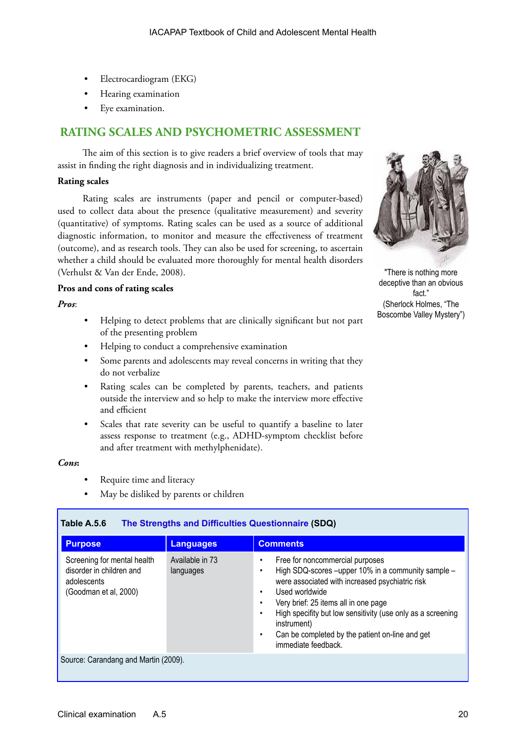- Electrocardiogram (EKG)
- Hearing examination
- Eye examination.

## **RATING SCALES AND PSYCHOMETRIC ASSESSMENT**

The aim of this section is to give readers a brief overview of tools that may assist in finding the right diagnosis and in individualizing treatment.

#### **Rating scales**

Rating scales are instruments (paper and pencil or computer-based) used to collect data about the presence (qualitative measurement) and severity (quantitative) of symptoms. Rating scales can be used as a source of additional diagnostic information, to monitor and measure the effectiveness of treatment (outcome), and as research tools. They can also be used for screening, to ascertain whether a child should be evaluated more thoroughly for mental health disorders (Verhulst & Van der Ende, 2008).

#### **Pros and cons of rating scales**

#### *Pros*:

- Helping to detect problems that are clinically significant but not part of the presenting problem
- Helping to conduct a comprehensive examination
- Some parents and adolescents may reveal concerns in writing that they do not verbalize
- Rating scales can be completed by parents, teachers, and patients outside the interview and so help to make the interview more effective and efficient
- Scales that rate severity can be useful to quantify a baseline to later assess response to treatment (e.g., ADHD-symptom checklist before and after treatment with methylphenidate).

#### *Cons***:**

- Require time and literacy
- May be disliked by parents or children



"There is nothing more deceptive than an obvious fact.' (Sherlock Holmes, "The Boscombe Valley Mystery")

| <b>Purpose</b>                                                                                  | <b>Languages</b>             | <b>Comments</b>                                                                                                                                                                                                                                                                                                                                            |
|-------------------------------------------------------------------------------------------------|------------------------------|------------------------------------------------------------------------------------------------------------------------------------------------------------------------------------------------------------------------------------------------------------------------------------------------------------------------------------------------------------|
| Screening for mental health<br>disorder in children and<br>adolescents<br>(Goodman et al, 2000) | Available in 73<br>languages | Free for noncommercial purposes<br>High SDQ-scores -upper 10% in a community sample -<br>were associated with increased psychiatric risk<br>Used worldwide<br>Very brief: 25 items all in one page<br>High specifity but low sensitivity (use only as a screening<br>instrument)<br>Can be completed by the patient on-line and get<br>immediate feedback. |
| Source: Carandang and Martin (2009).                                                            |                              |                                                                                                                                                                                                                                                                                                                                                            |

## **Table A.5.6 [The Strengths and Difficulties Questionnaire](http://www.sdqinfo.com) (SDQ)**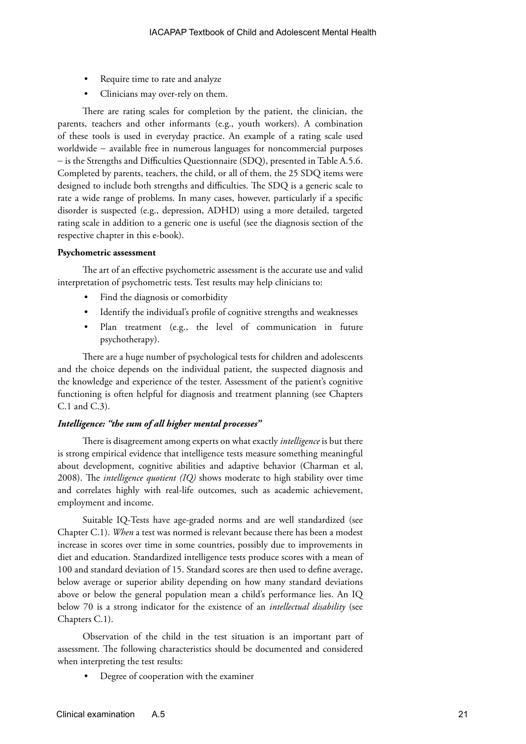- Require time to rate and analyze
- Clinicians may over-rely on them.

There are rating scales for completion by the patient, the clinician, the parents, teachers and other informants (e.g., youth workers). A combination of these tools is used in everyday practice. An example of a rating scale used worldwide − available free in numerous languages for noncommercial purposes − is the Strengths and Difficulties Questionnaire (SDQ), presented in Table A.5.6. Completed by parents, teachers, the child, or all of them, the 25 SDQ items were designed to include both strengths and difficulties. The SDQ is a generic scale to rate a wide range of problems. In many cases, however, particularly if a specific disorder is suspected (e.g., depression, ADHD) using a more detailed, targeted rating scale in addition to a generic one is useful (see the diagnosis section of the respective chapter in this e-book).

#### **Psychometric assessment**

The art of an effective psychometric assessment is the accurate use and valid interpretation of psychometric tests. Test results may help clinicians to:

- Find the diagnosis or comorbidity
- Identify the individual's profile of cognitive strengths and weaknesses
- Plan treatment (e.g., the level of communication in future psychotherapy).

There are a huge number of psychological tests for children and adolescents and the choice depends on the individual patient, the suspected diagnosis and the knowledge and experience of the tester. Assessment of the patient's cognitive functioning is often helpful for diagnosis and treatment planning (see Chapters C.1 and C.3).

#### *Intelligence: "the sum of all higher mental processes"*

There is disagreement among experts on what exactly *intelligence* is but there is strong empirical evidence that intelligence tests measure something meaningful about development, cognitive abilities and adaptive behavior (Charman et al, 2008). The *intelligence quotient (IQ)* shows moderate to high stability over time and correlates highly with real-life outcomes, such as academic achievement, employment and income.

Suitable IQ-Tests have age-graded norms and are well standardized (see Chapter C.1). *When* a test was normed is relevant because there has been a modest increase in scores over time in some countries, possibly due to improvements in diet and education. Standardized intelligence tests produce scores with a mean of 100 and standard deviation of 15. Standard scores are then used to define average, below average or superior ability depending on how many standard deviations above or below the general population mean a child's performance lies. An IQ below 70 is a strong indicator for the existence of an *intellectual disability* (see Chapters C.1).

Observation of the child in the test situation is an important part of assessment. The following characteristics should be documented and considered when interpreting the test results:

• Degree of cooperation with the examiner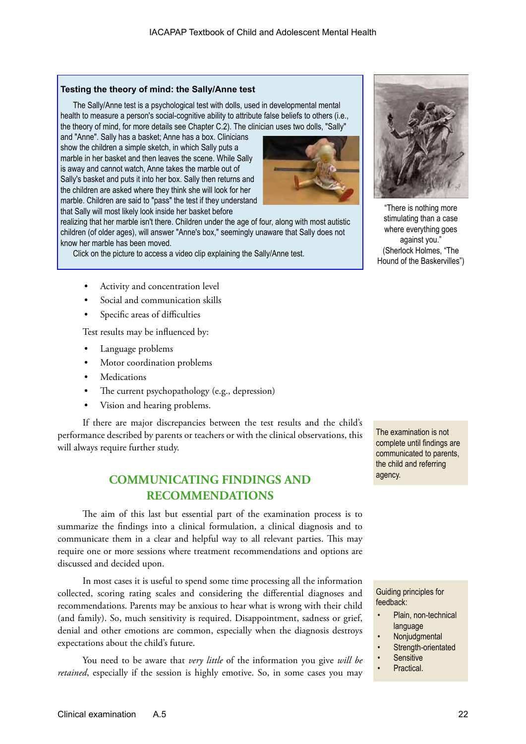#### **Testing the theory of mind: the Sally/Anne test**

The Sally/Anne test is a psychological test with dolls, used in developmental mental health to measure a person's social-cognitive ability to attribute false beliefs to others (i.e., the theory of mind, for more details see Chapter C.2). The clinician uses two dolls, "Sally"

and "Anne". Sally has a basket; Anne has a box. Clinicians show the children a simple sketch, in which Sally puts a marble in her basket and then leaves the scene. While Sally is away and cannot watch, Anne takes the marble out of Sally's basket and puts it into her box. Sally then returns and the children are asked where they think she will look for her marble. Children are said to "pass" the test if they understand that Sally will most likely look inside her basket before



realizing that her marble isn't there. Children under the age of four, along with most autistic children (of older ages), will answer "Anne's box," seemingly unaware that Sally does not know her marble has been moved.

Click on the picture to access a video clip explaining the Sally/Anne test.

- Activity and concentration level
- Social and communication skills
- Specific areas of difficulties

Test results may be influenced by:

- Language problems
- Motor coordination problems
- **Medications**
- The current psychopathology (e.g., depression)
- Vision and hearing problems.

If there are major discrepancies between the test results and the child's performance described by parents or teachers or with the clinical observations, this will always require further study.

## **COMMUNICATING FINDINGS AND RECOMMENDATIONS**

The aim of this last but essential part of the examination process is to summarize the findings into a clinical formulation, a clinical diagnosis and to communicate them in a clear and helpful way to all relevant parties. This may require one or more sessions where treatment recommendations and options are discussed and decided upon.

In most cases it is useful to spend some time processing all the information collected, scoring rating scales and considering the differential diagnoses and recommendations. Parents may be anxious to hear what is wrong with their child (and family). So, much sensitivity is required. Disappointment, sadness or grief, denial and other emotions are common, especially when the diagnosis destroys expectations about the child's future.

You need to be aware that *very little* of the information you give *will be retained*, especially if the session is highly emotive. So, in some cases you may

The examination is not complete until findings are communicated to parents, the child and referring agency.

"There is nothing more stimulating than a case where everything goes against you." (Sherlock Holmes, "The Hound of the Baskervilles")

Guiding principles for feedback:

- Plain, non-technical language
- Nonjudgmental
- Strength-orientated
- **Sensitive**
- Practical.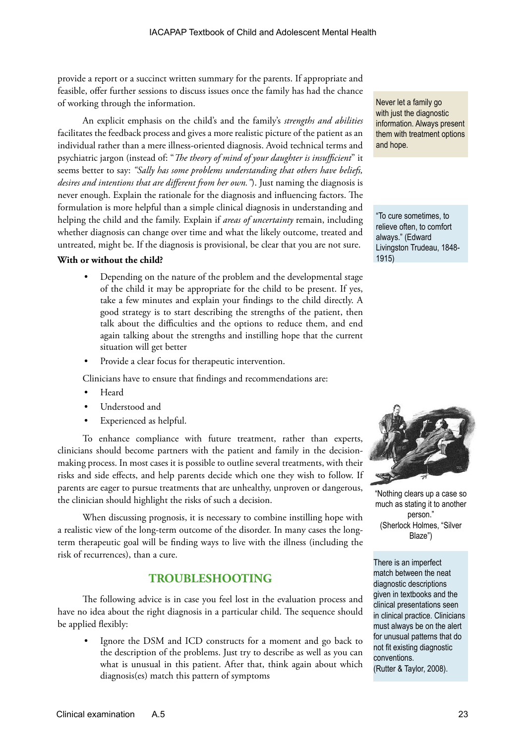provide a report or a succinct written summary for the parents. If appropriate and feasible, offer further sessions to discuss issues once the family has had the chance of working through the information.

An explicit emphasis on the child's and the family's *strengths and abilities* facilitates the feedback process and gives a more realistic picture of the patient as an individual rather than a mere illness-oriented diagnosis. Avoid technical terms and psychiatric jargon (instead of: "*The theory of mind of your daughter is insufficient*" it seems better to say: *"Sally has some problems understanding that others have beliefs, desires and intentions that are different from her own."*). Just naming the diagnosis is never enough. Explain the rationale for the diagnosis and influencing factors. The formulation is more helpful than a simple clinical diagnosis in understanding and helping the child and the family. Explain if *areas of uncertainty* remain, including whether diagnosis can change over time and what the likely outcome, treated and untreated, might be. If the diagnosis is provisional, be clear that you are not sure.

#### **With or without the child?**

- Depending on the nature of the problem and the developmental stage of the child it may be appropriate for the child to be present. If yes, take a few minutes and explain your findings to the child directly. A good strategy is to start describing the strengths of the patient, then talk about the difficulties and the options to reduce them, and end again talking about the strengths and instilling hope that the current situation will get better
- Provide a clear focus for therapeutic intervention.

Clinicians have to ensure that findings and recommendations are:

- Heard
- Understood and
- Experienced as helpful.

To enhance compliance with future treatment, rather than experts, clinicians should become partners with the patient and family in the decisionmaking process. In most cases it is possible to outline several treatments, with their risks and side effects, and help parents decide which one they wish to follow. If parents are eager to pursue treatments that are unhealthy, unproven or dangerous, the clinician should highlight the risks of such a decision.

When discussing prognosis, it is necessary to combine instilling hope with a realistic view of the long-term outcome of the disorder. In many cases the longterm therapeutic goal will be finding ways to live with the illness (including the risk of recurrences), than a cure.

## **TROUBLESHOOTING**

The following advice is in case you feel lost in the evaluation process and have no idea about the right diagnosis in a particular child. The sequence should be applied flexibly:

Ignore the DSM and ICD constructs for a moment and go back to the description of the problems. Just try to describe as well as you can what is unusual in this patient. After that, think again about which diagnosis(es) match this pattern of symptoms

Never let a family go with just the diagnostic information. Always present them with treatment options and hope.

"To cure sometimes, to relieve often, to comfort always." (Edward Livingston Trudeau, 1848- 1915)



"Nothing clears up a case so much as stating it to another person." (Sherlock Holmes, "Silver Blaze")

There is an imperfect match between the neat diagnostic descriptions given in textbooks and the clinical presentations seen in clinical practice. Clinicians must always be on the alert for unusual patterns that do not fit existing diagnostic conventions. (Rutter & Taylor, 2008).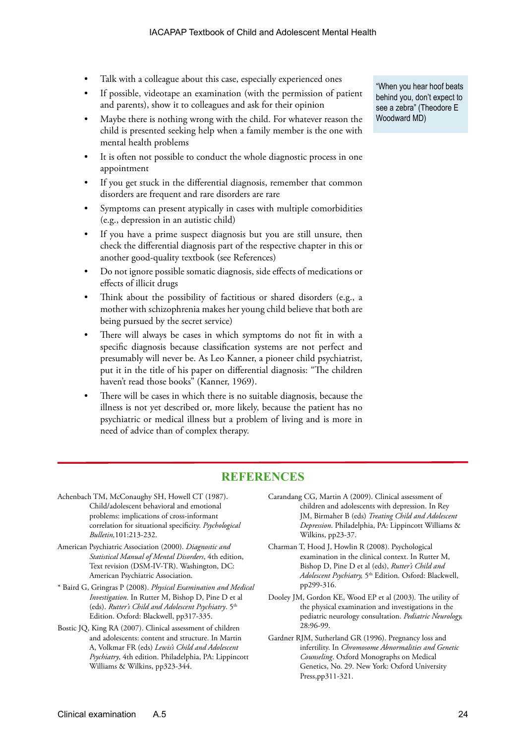- Talk with a colleague about this case, especially experienced ones
- If possible, videotape an examination (with the permission of patient and parents), show it to colleagues and ask for their opinion
- Maybe there is nothing wrong with the child. For whatever reason the child is presented seeking help when a family member is the one with mental health problems
- It is often not possible to conduct the whole diagnostic process in one appointment
- If you get stuck in the differential diagnosis, remember that common disorders are frequent and rare disorders are rare
- Symptoms can present atypically in cases with multiple comorbidities (e.g., depression in an autistic child)
- If you have a prime suspect diagnosis but you are still unsure, then check the differential diagnosis part of the respective chapter in this or another good-quality textbook (see References)
- Do not ignore possible somatic diagnosis, side effects of medications or effects of illicit drugs
- Think about the possibility of factitious or shared disorders (e.g., a mother with schizophrenia makes her young child believe that both are being pursued by the secret service)
- There will always be cases in which symptoms do not fit in with a specific diagnosis because classification systems are not perfect and presumably will never be. As Leo Kanner, a pioneer child psychiatrist, put it in the title of his paper on differential diagnosis: "The children haven't read those books" (Kanner, 1969).
- There will be cases in which there is no suitable diagnosis, because the illness is not yet described or, more likely, because the patient has no psychiatric or medical illness but a problem of living and is more in need of advice than of complex therapy.

"When you hear hoof beats behind you, don't expect to see a zebra" (Theodore E Woodward MD)

## **REFERENCES**

- Achenbach TM, McConaughy SH, Howell CT (1987). Child/adolescent behavioral and emotional problems: implications of cross-informant correlation for situational specificity. *Psychological Bulletin,*101:213-232.
- American Psychiatric Association (2000). *Diagnostic and Statistical Manual of Mental Disorders*, 4th edition, Text revision (DSM-IV-TR). Washington, DC: American Psychiatric Association.
- \* Baird G, Gringras P (2008). *Physical Examination and Medical Investigation.* In Rutter M, Bishop D, Pine D et al (eds). Rutter's Child and Adolescent Psychiatry. 5<sup>th</sup> Edition. Oxford: Blackwell, pp317-335.
- Bostic JQ, King RA (2007). Clinical assessment of children and adolescents: content and structure. In Martin A, Volkmar FR (eds) *Lewis's Child and Adolescent Psychiatry*, 4th edition. Philadelphia, PA: Lippincott Williams & Wilkins, pp323-344.
- Carandang CG, Martin A (2009). Clinical assessment of children and adolescents with depression. In Rey JM, Birmaher B (eds) *Treating Child and Adolescent Depression*. Philadelphia, PA: Lippincott Williams & Wilkins, pp23-37.
- Charman T, Hood J, Howlin R (2008). Psychological examination in the clinical context. In Rutter M, Bishop D, Pine D et al (eds), *Rutter's Child and Adolescent Psychiatry,* 5th Edition. Osford: Blackwell, pp299-316.
- Dooley JM, Gordon KE, Wood EP et al (2003)*.* The utility of the physical examination and investigations in the pediatric neurology consultation. *Pediatric Neurology,* 28:96-99.
- Gardner RJM, Sutherland GR (1996). Pregnancy loss and infertility. In *Chromosome Abnormalities and Genetic Counseling*. Oxford Monographs on Medical Genetics, No. 29. New York: Oxford University Press,pp311-321.